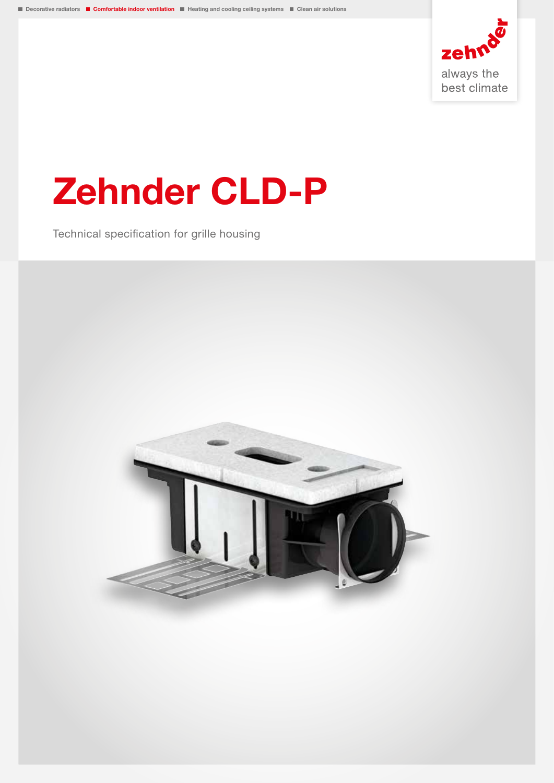

# Zehnder CLD-P

Technical specification for grille housing

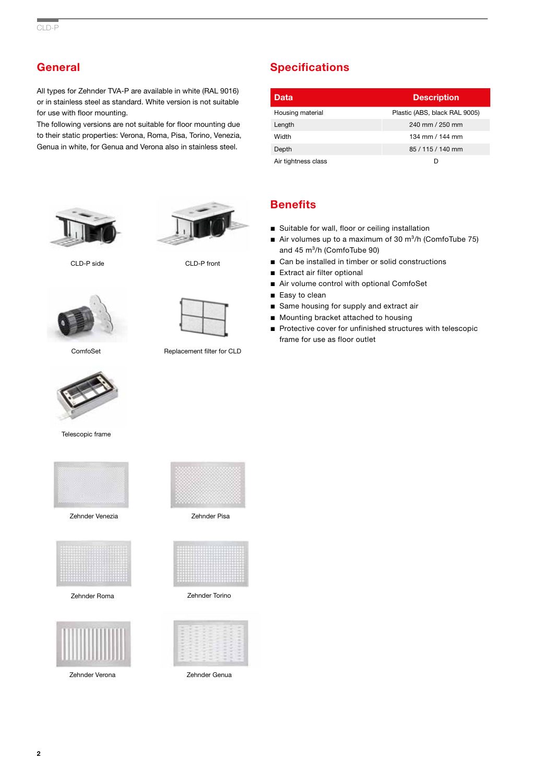# **General**

All types for Zehnder TVA-P are available in white (RAL 9016) or in stainless steel as standard. White version is not suitable for use with floor mounting.

The following versions are not suitable for floor mounting due to their static properties: Verona, Roma, Pisa, Torino, Venezia, Genua in white, for Genua and Verona also in stainless steel.





ComfoSet Replacement filter for CLD



Telescopic frame



Zehnder Venezia



Zehnder Roma



Zehnder Verona



Zehnder Pisa



Zehnder Torino



Zehnder Genua

# **Specifications**

| Data                | <b>Description</b>            |
|---------------------|-------------------------------|
| Housing material    | Plastic (ABS, black RAL 9005) |
| Length              | 240 mm / 250 mm               |
| Width               | 134 mm / 144 mm               |
| Depth               | 85 / 115 / 140 mm             |
| Air tightness class | D                             |

## **Benefits**

- Suitable for wall, floor or ceiling installation
- Air volumes up to a maximum of 30  $m^3/h$  (ComfoTube 75) and  $45 \text{ m}^3/h$  (ComfoTube 90)
- Can be installed in timber or solid constructions
- Extract air filter optional
- Air volume control with optional ComfoSet
- Easy to clean
- Same housing for supply and extract air
- Mounting bracket attached to housing
- Protective cover for unfinished structures with telescopic frame for use as floor outlet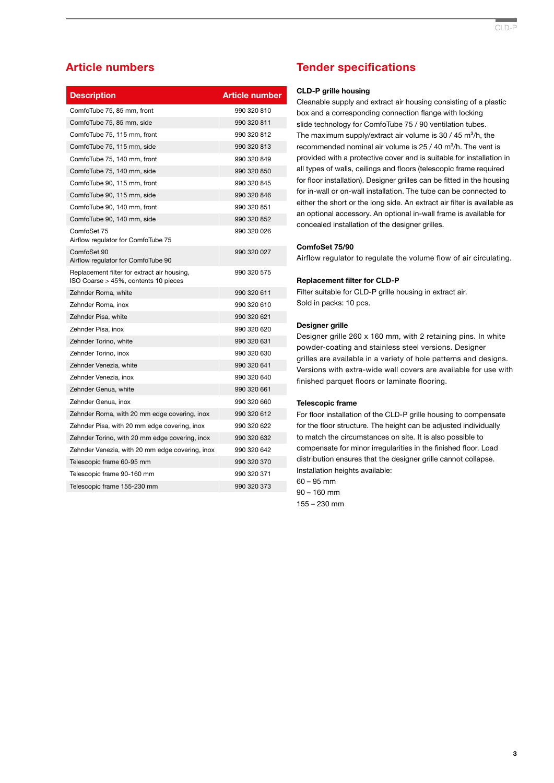# Article numbers

| <b>Description</b>                                                                  | <b>Article number</b> |
|-------------------------------------------------------------------------------------|-----------------------|
| ComfoTube 75, 85 mm, front                                                          | 990 320 810           |
| ComfoTube 75, 85 mm, side                                                           | 990 320 811           |
| ComfoTube 75, 115 mm, front                                                         | 990 320 812           |
| ComfoTube 75, 115 mm, side                                                          | 990 320 813           |
| ComfoTube 75, 140 mm, front                                                         | 990 320 849           |
| ComfoTube 75, 140 mm, side                                                          | 990 320 850           |
| ComfoTube 90, 115 mm, front                                                         | 990 320 845           |
| ComfoTube 90, 115 mm, side                                                          | 990 320 846           |
| ComfoTube 90, 140 mm, front                                                         | 990 320 851           |
| ComfoTube 90, 140 mm, side                                                          | 990 320 852           |
| ComfoSet 75<br>Airflow regulator for ComfoTube 75                                   | 990 320 026           |
| ComfoSet 90<br>Airflow regulator for ComfoTube 90                                   | 990 320 027           |
| Replacement filter for extract air housing,<br>ISO Coarse > 45%, contents 10 pieces | 990 320 575           |
| Zehnder Roma, white                                                                 | 990 320 611           |
| Zehnder Roma, inox                                                                  | 990 320 610           |
| Zehnder Pisa, white                                                                 | 990 320 621           |
| Zehnder Pisa, inox                                                                  | 990 320 620           |
| Zehnder Torino, white                                                               | 990 320 631           |
| Zehnder Torino, inox                                                                | 990 320 630           |
| Zehnder Venezia, white                                                              | 990 320 641           |
| Zehnder Venezia, inox                                                               | 990 320 640           |
| Zehnder Genua, white                                                                | 990 320 661           |
| Zehnder Genua, inox                                                                 | 990 320 660           |
| Zehnder Roma, with 20 mm edge covering, inox                                        | 990 320 612           |
| Zehnder Pisa, with 20 mm edge covering, inox                                        | 990 320 622           |
| Zehnder Torino, with 20 mm edge covering, inox                                      | 990 320 632           |
| Zehnder Venezia, with 20 mm edge covering, inox                                     | 990 320 642           |
| Telescopic frame 60-95 mm                                                           | 990 320 370           |
| Telescopic frame 90-160 mm                                                          | 990 320 371           |
| Telescopic frame 155-230 mm                                                         | 990 320 373           |

## Tender specifications

#### CLD-P grille housing

Cleanable supply and extract air housing consisting of a plastic box and a corresponding connection flange with locking slide technology for ComfoTube 75 / 90 ventilation tubes. The maximum supply/extract air volume is  $30 / 45$  m<sup>3</sup>/h, the recommended nominal air volume is  $25 / 40$  m ${}^{3}/h$ . The vent is provided with a protective cover and is suitable for installation in all types of walls, ceilings and floors (telescopic frame required for floor installation). Designer grilles can be fitted in the housing for in-wall or on-wall installation. The tube can be connected to either the short or the long side. An extract air filter is available as an optional accessory. An optional in-wall frame is available for concealed installation of the designer grilles.

#### ComfoSet 75/90

Airflow regulator to regulate the volume flow of air circulating.

#### Replacement filter for CLD-P

Filter suitable for CLD-P grille housing in extract air. Sold in packs: 10 pcs.

#### Designer grille

Designer grille 260 x 160 mm, with 2 retaining pins. In white powder-coating and stainless steel versions. Designer grilles are available in a variety of hole patterns and designs. Versions with extra-wide wall covers are available for use with finished parquet floors or laminate flooring.

#### Telescopic frame

For floor installation of the CLD-P grille housing to compensate for the floor structure. The height can be adjusted individually to match the circumstances on site. It is also possible to compensate for minor irregularities in the finished floor. Load distribution ensures that the designer grille cannot collapse. Installation heights available:

60 – 95 mm 90 – 160 mm 155 – 230 mm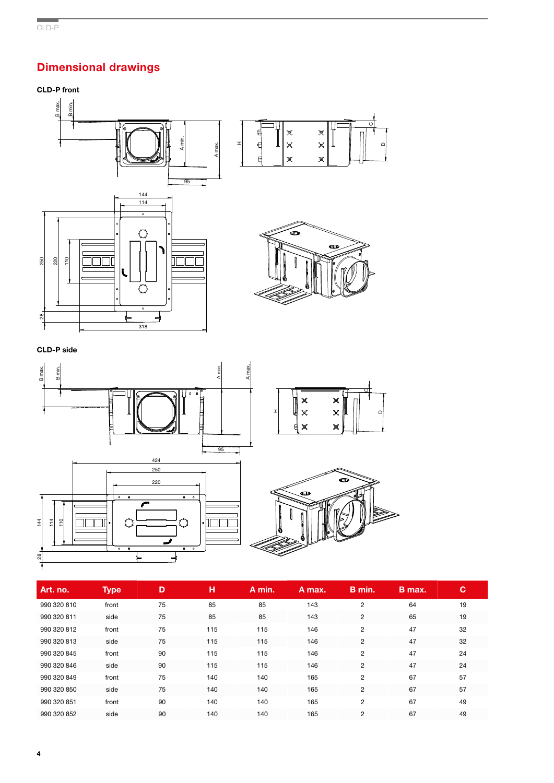# .<br>. Dimensional drawings

# CLD-P front



 $\circ$ 

D



| Art. no.    | <b>Type</b> | D  | н   | A min. | A max. | B min.         | B max. | C  |
|-------------|-------------|----|-----|--------|--------|----------------|--------|----|
| 990 320 810 | front       | 75 | 85  | 85     | 143    | 2              | 64     | 19 |
| 990 320 811 | side        | 75 | 85  | 85     | 143    | 2              | 65     | 19 |
| 990 320 812 | front       | 75 | 115 | 115    | 146    | $\overline{2}$ | 47     | 32 |
| 990 320 813 | side        | 75 | 115 | 115    | 146    | 2              | 47     | 32 |
| 990 320 845 | front       | 90 | 115 | 115    | 146    | $\overline{c}$ | 47     | 24 |
| 990 320 846 | side        | 90 | 115 | 115    | 146    | $\overline{c}$ | 47     | 24 |
| 990 320 849 | front       | 75 | 140 | 140    | 165    | $\overline{2}$ | 67     | 57 |
| 990 320 850 | side        | 75 | 140 | 140    | 165    | $\overline{c}$ | 67     | 57 |
| 990 320 851 | front       | 90 | 140 | 140    | 165    | $\overline{2}$ | 67     | 49 |
| 990 320 852 | side        | 90 | 140 | 140    | 165    | 2              | 67     | 49 |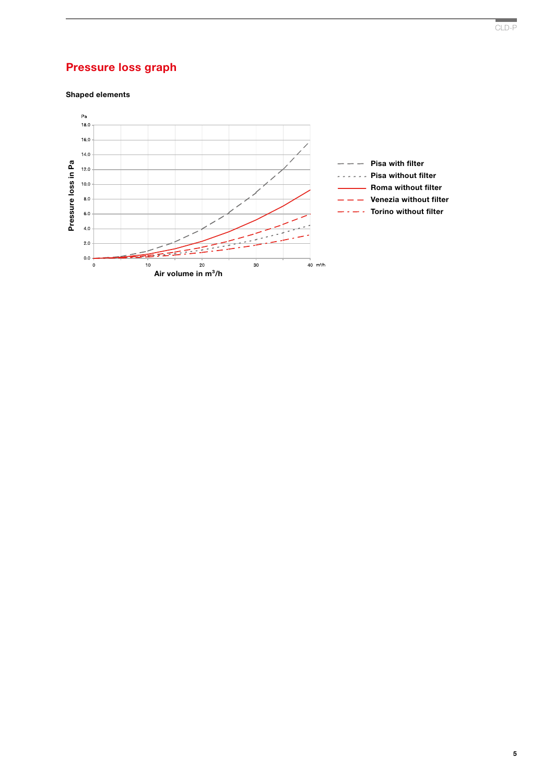# Pressure loss graph

Shaped elements